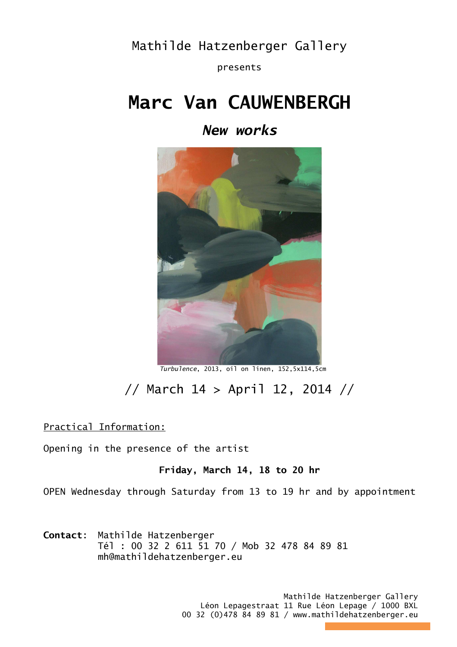Mathilde Hatzenberger Gallery

presents

## **Marc Van CAUWENBERGH**

*New works* 



 *Turbulence*, 2013, oil on linen, 152,5x114,5cm

## // March 14 > April 12, 2014 //

Practical Information:

Opening in the presence of the artist

## **Friday, March 14, 18 to 20 hr**

OPEN Wednesday through Saturday from 13 to 19 hr and by appointment

**Contact**: Mathilde Hatzenberger Tél : 00 32 2 611 51 70 / Mob 32 478 84 89 81 mh@mathildehatzenberger.eu

> Mathilde Hatzenberger Gallery Léon Lepagestraat 11 Rue Léon Lepage / 1000 BXL 00 32 (0)478 84 89 81 / www.mathildehatzenberger.eu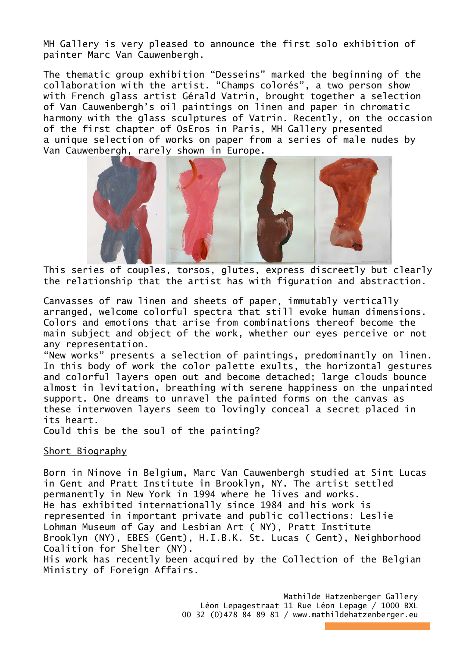MH Gallery is very pleased to announce the first solo exhibition of painter Marc Van Cauwenbergh.

The thematic group exhibition "Desseins" marked the beginning of the collaboration with the artist. "Champs colorés", a two person show with French glass artist Gérald Vatrin, brought together a selection of Van Cauwenbergh's oil paintings on linen and paper in chromatic harmony with the glass sculptures of Vatrin. Recently, on the occasion of the first chapter of OsEros in Paris, MH Gallery presented a unique selection of works on paper from a series of male nudes by Van Cauwenbergh, rarely shown in Europe.



This series of couples, torsos, glutes, express discreetly but clearly the relationship that the artist has with figuration and abstraction.

Canvasses of raw linen and sheets of paper, immutably vertically arranged, welcome colorful spectra that still evoke human dimensions. Colors and emotions that arise from combinations thereof become the main subject and object of the work, whether our eyes perceive or not any representation.

"New works" presents a selection of paintings, predominantly on linen. In this body of work the color palette exults, the horizontal gestures and colorful layers open out and become detached; large clouds bounce almost in levitation, breathing with serene happiness on the unpainted support. One dreams to unravel the painted forms on the canvas as these interwoven layers seem to lovingly conceal a secret placed in its heart.

Could this be the soul of the painting?

## Short Biography

Born in Ninove in Belgium, Marc Van Cauwenbergh studied at Sint Lucas in Gent and Pratt Institute in Brooklyn, NY. The artist settled permanently in New York in 1994 where he lives and works. He has exhibited internationally since 1984 and his work is represented in important private and public collections: Leslie Lohman Museum of Gay and Lesbian Art ( NY), Pratt Institute Brooklyn (NY), EBES (Gent), H.I.B.K. St. Lucas ( Gent), Neighborhood Coalition for Shelter (NY).

His work has recently been acquired by the Collection of the Belgian Ministry of Foreign Affairs.